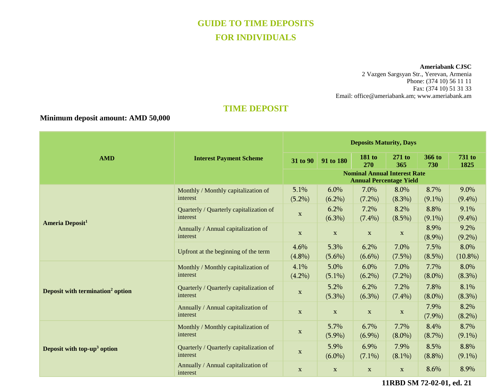# **GUIDE TO TIME DEPOSITS FOR INDIVIDUALS**

**Ameriabank CJSC**

2 Vazgen Sargsyan Str., Yerevan, Armenia Phone: (374 10) 56 11 11 Fax: (374 10) 51 31 33 Email: [office@ameriabank.am;](mailto:office@ameriabank.am) www.ameriabank.am

# **TIME DEPOSIT**

## **Minimum deposit amount: AMD 50,000**

|                                              | <b>Interest Payment Scheme</b>                      | <b>Deposits Maturity, Days</b>                                        |                   |                      |                   |                   |                       |
|----------------------------------------------|-----------------------------------------------------|-----------------------------------------------------------------------|-------------------|----------------------|-------------------|-------------------|-----------------------|
| <b>AMD</b>                                   |                                                     | 31 to 90                                                              | 91 to 180         | <b>181 to</b><br>270 | $271$ to<br>365   | 366 to<br>730     | <b>731 to</b><br>1825 |
|                                              |                                                     | <b>Nominal Annual Interest Rate</b><br><b>Annual Percentage Yield</b> |                   |                      |                   |                   |                       |
| <b>Ameria Deposit<sup>1</sup></b>            | Monthly / Monthly capitalization of<br>interest     | 5.1%<br>$(5.2\%)$                                                     | 6.0%<br>$(6.2\%)$ | 7.0%<br>$(7.2\%)$    | 8.0%<br>$(8.3\%)$ | 8.7%<br>$(9.1\%)$ | 9.0%<br>$(9.4\%)$     |
|                                              | Quarterly / Quarterly capitalization of<br>interest | $\mathbf X$                                                           | 6.2%<br>$(6.3\%)$ | 7.2%<br>$(7.4\%)$    | 8.2%<br>$(8.5\%)$ | 8.8%<br>$(9.1\%)$ | 9.1%<br>$(9.4\%)$     |
|                                              | Annually / Annual capitalization of<br>interest     | X                                                                     | $\mathbf{X}$      | $\mathbf{X}$         | $\mathbf X$       | 8.9%<br>$(8.9\%)$ | 9.2%<br>$(9.2\%)$     |
|                                              | Upfront at the beginning of the term                | 4.6%<br>$(4.8\%)$                                                     | 5.3%<br>$(5.6\%)$ | 6.2%<br>$(6.6\%)$    | 7.0%<br>$(7.5\%)$ | 7.5%<br>$(8.5\%)$ | 8.0%<br>$(10.8\%)$    |
| Deposit with termination <sup>2</sup> option | Monthly / Monthly capitalization of<br>interest     | 4.1%<br>$(4.2\%)$                                                     | 5.0%<br>$(5.1\%)$ | 6.0%<br>$(6.2\%)$    | 7.0%<br>$(7.2\%)$ | 7.7%<br>$(8.0\%)$ | 8.0%<br>$(8.3\%)$     |
|                                              | Quarterly / Quarterly capitalization of<br>interest | X                                                                     | 5.2%<br>$(5.3\%)$ | 6.2%<br>$(6.3\%)$    | 7.2%<br>$(7.4\%)$ | 7.8%<br>$(8.0\%)$ | 8.1%<br>$(8.3\%)$     |
|                                              | Annually / Annual capitalization of<br>interest     | $\mathbf X$                                                           | $\mathbf{X}$      | $\mathbf{X}$         | $\mathbf X$       | 7.9%<br>$(7.9\%)$ | 8.2%<br>$(8.2\%)$     |
| Deposit with top-up <sup>3</sup> option      | Monthly / Monthly capitalization of<br>interest     | $\mathbf X$                                                           | 5.7%<br>$(5.9\%)$ | 6.7%<br>$(6.9\%)$    | 7.7%<br>$(8.0\%)$ | 8.4%<br>$(8.7\%)$ | 8.7%<br>$(9.1\%)$     |
|                                              | Quarterly / Quarterly capitalization of<br>interest | $\mathbf X$                                                           | 5.9%<br>$(6.0\%)$ | 6.9%<br>$(7.1\%)$    | 7.9%<br>$(8.1\%)$ | 8.5%<br>$(8.8\%)$ | 8.8%<br>$(9.1\%)$     |
|                                              | Annually / Annual capitalization of<br>interest     | X                                                                     | $\mathbf{X}$      | $\mathbf{X}$         | $\mathbf{X}$      | 8.6%              | 8.9%                  |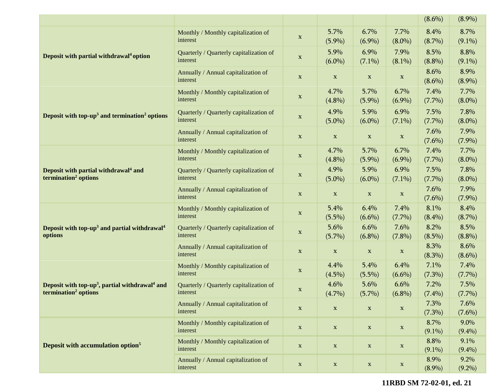|                                                                                                            |                                                     |              |                   |                   |                   | $(8.6\%)$         | $(8.9\%)$         |
|------------------------------------------------------------------------------------------------------------|-----------------------------------------------------|--------------|-------------------|-------------------|-------------------|-------------------|-------------------|
| Deposit with partial withdrawal <sup>4</sup> option                                                        | Monthly / Monthly capitalization of<br>interest     | $\mathbf X$  | 5.7%<br>$(5.9\%)$ | 6.7%<br>$(6.9\%)$ | 7.7%<br>$(8.0\%)$ | 8.4%<br>$(8.7\%)$ | 8.7%<br>$(9.1\%)$ |
|                                                                                                            | Quarterly / Quarterly capitalization of<br>interest | $\mathbf X$  | 5.9%<br>$(6.0\%)$ | 6.9%<br>$(7.1\%)$ | 7.9%<br>$(8.1\%)$ | 8.5%<br>$(8.8\%)$ | 8.8%<br>$(9.1\%)$ |
|                                                                                                            | Annually / Annual capitalization of<br>interest     | $\mathbf{X}$ | $\mathbf{x}$      | $\mathbf X$       | $\mathbf X$       | 8.6%<br>$(8.6\%)$ | 8.9%<br>$(8.9\%)$ |
| Deposit with top-up <sup>3</sup> and termination <sup>2</sup> options                                      | Monthly / Monthly capitalization of<br>interest     | $\mathbf X$  | 4.7%<br>$(4.8\%)$ | 5.7%<br>$(5.9\%)$ | 6.7%<br>$(6.9\%)$ | 7.4%<br>$(7.7\%)$ | 7.7%<br>$(8.0\%)$ |
|                                                                                                            | Quarterly / Quarterly capitalization of<br>interest | X            | 4.9%<br>$(5.0\%)$ | 5.9%<br>$(6.0\%)$ | 6.9%<br>$(7.1\%)$ | 7.5%<br>$(7.7\%)$ | 7.8%<br>$(8.0\%)$ |
|                                                                                                            | Annually / Annual capitalization of<br>interest     | $\mathbf X$  | $\mathbf{X}$      | $\mathbf X$       | $\mathbf X$       | 7.6%<br>$(7.6\%)$ | 7.9%<br>$(7.9\%)$ |
| Deposit with partial withdrawal <sup>4</sup> and<br>termination <sup>2</sup> options                       | Monthly / Monthly capitalization of<br>interest     | $\mathbf{X}$ | 4.7%<br>$(4.8\%)$ | 5.7%<br>$(5.9\%)$ | 6.7%<br>$(6.9\%)$ | 7.4%<br>$(7.7\%)$ | 7.7%<br>$(8.0\%)$ |
|                                                                                                            | Quarterly / Quarterly capitalization of<br>interest | X            | 4.9%<br>$(5.0\%)$ | 5.9%<br>$(6.0\%)$ | 6.9%<br>$(7.1\%)$ | 7.5%<br>$(7.7\%)$ | 7.8%<br>$(8.0\%)$ |
|                                                                                                            | Annually / Annual capitalization of<br>interest     | $\mathbf X$  | $\mathbf{X}$      | $\mathbf X$       | $\mathbf X$       | 7.6%<br>$(7.6\%)$ | 7.9%<br>$(7.9\%)$ |
|                                                                                                            | Monthly / Monthly capitalization of<br>interest     | $\mathbf X$  | 5.4%<br>$(5.5\%)$ | 6.4%<br>$(6.6\%)$ | 7.4%<br>$(7.7\%)$ | 8.1%<br>$(8.4\%)$ | 8.4%<br>$(8.7\%)$ |
| Deposit with top-up <sup>3</sup> and partial withdrawal <sup>4</sup><br>options                            | Quarterly / Quarterly capitalization of<br>interest | $\mathbf{X}$ | 5.6%<br>$(5.7\%)$ | 6.6%<br>$(6.8\%)$ | 7.6%<br>$(7.8\%)$ | 8.2%<br>$(8.5\%)$ | 8.5%<br>$(8.8\%)$ |
|                                                                                                            | Annually / Annual capitalization of<br>interest     | $\mathbf X$  | $\mathbf{x}$      | $\mathbf X$       | $\mathbf X$       | 8.3%<br>$(8.3\%)$ | 8.6%<br>$(8.6\%)$ |
| Deposit with top-up <sup>3</sup> , partial withdrawal <sup>4</sup> and<br>termination <sup>2</sup> options | Monthly / Monthly capitalization of<br>interest     | $\mathbf X$  | 4.4%<br>$(4.5\%)$ | 5.4%<br>$(5.5\%)$ | 6.4%<br>$(6.6\%)$ | 7.1%<br>$(7.3\%)$ | 7.4%<br>$(7.7\%)$ |
|                                                                                                            | Quarterly / Quarterly capitalization of<br>interest | X            | 4.6%<br>$(4.7\%)$ | 5.6%<br>$(5.7\%)$ | 6.6%<br>$(6.8\%)$ | 7.2%<br>$(7.4\%)$ | 7.5%<br>$(7.7\%)$ |
|                                                                                                            | Annually / Annual capitalization of<br>interest     | $\mathbf{X}$ | $\mathbf{X}$      | $\mathbf{X}$      | $\mathbf X$       | 7.3%<br>$(7.3\%)$ | 7.6%<br>$(7.6\%)$ |
| Deposit with accumulation option <sup>5</sup>                                                              | Monthly / Monthly capitalization of<br>interest     | $\mathbf{X}$ | $\mathbf X$       | $\mathbf X$       | $\mathbf x$       | 8.7%<br>$(9.1\%)$ | 9.0%<br>$(9.4\%)$ |
|                                                                                                            | Monthly / Monthly capitalization of<br>interest     | $\mathbf X$  | $\mathbf X$       | $\mathbf X$       | $\mathbf X$       | 8.8%<br>$(9.1\%)$ | 9.1%<br>$(9.4\%)$ |
|                                                                                                            | Annually / Annual capitalization of<br>interest     | $\mathbf X$  | $\mathbf X$       | $\mathbf X$       | $\mathbf X$       | 8.9%<br>$(8.9\%)$ | 9.2%<br>$(9.2\%)$ |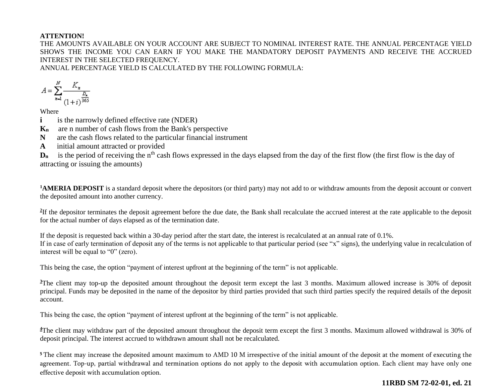#### **ATTENTION!**

THE AMOUNTS AVAILABLE ON YOUR ACCOUNT ARE SUBJECT TO NOMINAL INTEREST RATE. THE ANNUAL PERCENTAGE YIELD SHOWS THE INCOME YOU CAN EARN IF YOU MAKE THE MANDATORY DEPOSIT PAYMENTS AND RECEIVE THE ACCRUED INTEREST IN THE SELECTED FREQUENCY.

ANNUAL PERCENTAGE YIELD IS CALCULATED BY THE FOLLOWING FORMULA:

$$
A = \sum_{n=1}^{N} \frac{K_n}{\frac{D_n}{(1+i)^{\frac{D_n}{365}}}}
$$

Where

**i is the narrowly defined effective rate (NDER)** 

- **Kn** are n number of cash flows from the Bank's perspective
- **N** are the cash flows related to the particular financial instrument
- **A** initial amount attracted or provided

D<sub>n</sub> is the period of receiving the n<sup>th</sup> cash flows expressed in the days elapsed from the day of the first flow (the first flow is the day of attracting or issuing the amounts)

<sup>1</sup>**AMERIA DEPOSIT** is a standard deposit where the depositors (or third party) may not add to or withdraw amounts from the deposit account or convert the deposited amount into another currency.

<sup>2</sup>If the depositor terminates the deposit agreement before the due date, the Bank shall recalculate the accrued interest at the rate applicable to the deposit for the actual number of days elapsed as of the termination date.

If the deposit is requested back within a 30-day period after the start date, the interest is recalculated at an annual rate of 0.1%. If in case of early termination of deposit any of the terms is not applicable to that particular period (see "x" signs), the underlying value in recalculation of interest will be equal to "0" (zero).

This being the case, the option "payment of interest upfront at the beginning of the term" is not applicable.

<sup>3</sup>The client may top-up the deposited amount throughout the deposit term except the last 3 months. Maximum allowed increase is 30% of deposit principal. Funds may be deposited in the name of the depositor by third parties provided that such third parties specify the required details of the deposit account.

This being the case, the option "payment of interest upfront at the beginning of the term" is not applicable.

<sup>4</sup>The client may withdraw part of the deposited amount throughout the deposit term except the first 3 months. Maximum allowed withdrawal is 30% of deposit principal. The interest accrued to withdrawn amount shall not be recalculated.

<sup>5</sup>The client may increase the deposited amount maximum to AMD 10 M irrespective of the initial amount of the deposit at the moment of executing the agreement. Top-up, partial withdrawal and termination options do not apply to the deposit with accumulation option. Each client may have only one effective deposit with accumulation option.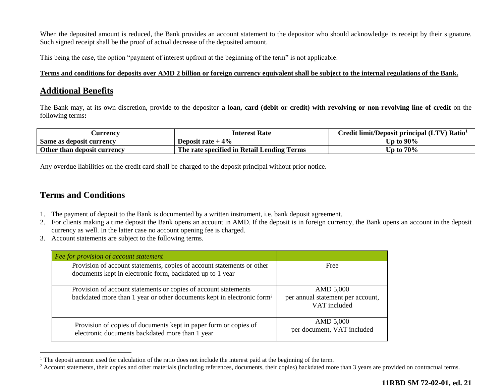When the deposited amount is reduced, the Bank provides an account statement to the depositor who should acknowledge its receipt by their signature. Such signed receipt shall be the proof of actual decrease of the deposited amount.

This being the case, the option "payment of interest upfront at the beginning of the term" is not applicable.

#### **Terms and conditions for deposits over AMD 2 billion or foreign currency equivalent shall be subject to the internal regulations of the Bank.**

# **Additional Benefits**

The Bank may, at its own discretion, provide to the depositor **a loan, card (debit or credit) with revolving or non-revolving line of credit** on the following terms**:** 

| <b>Currency</b>             | <b>Interest Rate</b>                       | Credit limit/Deposit principal (LTV) Ratio <sup>1</sup> |
|-----------------------------|--------------------------------------------|---------------------------------------------------------|
| Same as deposit currency    | Deposit rate $+4\%$                        | Up to $90\%$                                            |
| Other than deposit currency | The rate specified in Retail Lending Terms | Up to $70\%$                                            |

Any overdue liabilities on the credit card shall be charged to the deposit principal without prior notice.

# **Terms and Conditions**

 $\overline{a}$ 

- 1. The payment of deposit to the Bank is documented by a written instrument, i.e. bank deposit agreement.
- 2. For clients making a time deposit the Bank opens an account in AMD. If the deposit is in foreign currency, the Bank opens an account in the deposit currency as well. In the latter case no account opening fee is charged.
- 3. Account statements are subject to the following terms.

| Fee for provision of account statement                                                                                                                |                                                                |
|-------------------------------------------------------------------------------------------------------------------------------------------------------|----------------------------------------------------------------|
| Provision of account statements, copies of account statements or other<br>documents kept in electronic form, backdated up to 1 year                   | Free                                                           |
| Provision of account statements or copies of account statements<br>backdated more than 1 year or other documents kept in electronic form <sup>2</sup> | AMD 5,000<br>per annual statement per account,<br>VAT included |
| Provision of copies of documents kept in paper form or copies of<br>electronic documents backdated more than 1 year                                   | AMD 5,000<br>per document, VAT included                        |

<sup>&</sup>lt;sup>1</sup> The deposit amount used for calculation of the ratio does not include the interest paid at the beginning of the term.

<sup>&</sup>lt;sup>2</sup> Account statements, their copies and other materials (including references, documents, their copies) backdated more than 3 years are provided on contractual terms.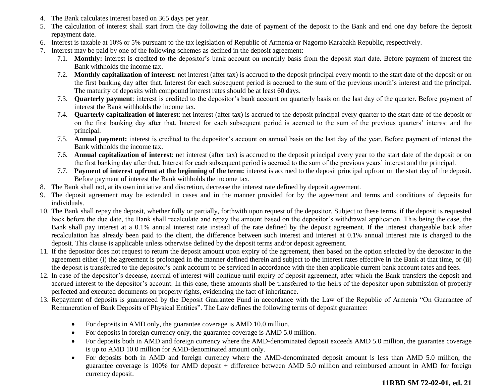- 4. The Bank calculates interest based on 365 days per year.
- 5. The calculation of interest shall start from the day following the date of payment of the deposit to the Bank and end one day before the deposit repayment date.
- 6. Interest is taxable at 10% or 5% pursuant to the tax legislation of Republic of Armenia or Nagorno Karabakh Republic, respectively.
- 7. Interest may be paid by one of the following schemes as defined in the deposit agreement:
	- 7.1. **Monthly:** interest is credited to the depositor's bank account on monthly basis from the deposit start date. Before payment of interest the Bank withholds the income tax.
	- 7.2. **Monthly capitalization of interest**: net interest (after tax) is accrued to the deposit principal every month to the start date of the deposit or on the first banking day after that. Interest for each subsequent period is accrued to the sum of the previous month's interest and the principal. The maturity of deposits with compound interest rates should be at least 60 days.
	- 7.3. **Quarterly payment**: interest is credited to the depositor's bank account on quarterly basis on the last day of the quarter. Before payment of interest the Bank withholds the income tax.
	- 7.4. **Quarterly capitalization of interest**: net interest (after tax) is accrued to the deposit principal every quarter to the start date of the deposit or on the first banking day after that. Interest for each subsequent period is accrued to the sum of the previous quarters' interest and the principal.
	- 7.5. **Annual payment:** interest is credited to the depositor's account on annual basis on the last day of the year. Before payment of interest the Bank withholds the income tax.
	- 7.6. **Annual capitalization of interest**: net interest (after tax) is accrued to the deposit principal every year to the start date of the deposit or on the first banking day after that. Interest for each subsequent period is accrued to the sum of the previous years' interest and the principal.
	- 7.7. **Payment of interest upfront at the beginning of the term:** interest is accrued to the deposit principal upfront on the start day of the deposit. Before payment of interest the Bank withholds the income tax.
- 8. The Bank shall not, at its own initiative and discretion, decrease the interest rate defined by deposit agreement.
- 9. The deposit agreement may be extended in cases and in the manner provided for by the agreement and terms and conditions of deposits for individuals.
- 10. The Bank shall repay the deposit, whether fully or partially, forthwith upon request of the depositor. Subject to these terms, if the deposit is requested back before the due date, the Bank shall recalculate and repay the amount based on the depositor's withdrawal application. This being the case, the Bank shall pay interest at a 0.1% annual interest rate instead of the rate defined by the deposit agreement. If the interest chargeable back after recalculation has already been paid to the client, the difference between such interest and interest at 0.1% annual interest rate is charged to the deposit. This clause is applicable unless otherwise defined by the deposit terms and/or deposit agreement.
- 11. If the depositor does not request to return the deposit amount upon expiry of the agreement, then based on the option selected by the depositor in the agreement either (i) the agreement is prolonged in the manner defined therein and subject to the interest rates effective in the Bank at that time, or (ii) the deposit is transferred to the depositor's bank account to be serviced in accordance with the then applicable current bank account rates and fees.
- 12. In case of the depositor's decease, accrual of interest will continue until expiry of deposit agreement, after which the Bank transfers the deposit and accrued interest to the depositor's account. In this case, these amounts shall be transferred to the heirs of the depositor upon submission of properly perfected and executed documents on property rights, evidencing the fact of inheritance.
- 13. Repayment of deposits is guaranteed by the Deposit Guarantee Fund in accordance with the Law of the Republic of Armenia "On Guarantee of Remuneration of Bank Deposits of Physical Entities". The Law defines the following terms of deposit guarantee:
	- For deposits in AMD only, the guarantee coverage is AMD 10.0 million.
	- For deposits in foreign currency only, the guarantee coverage is AMD 5.0 million.
	- For deposits both in AMD and foreign currency where the AMD-denominated deposit exceeds AMD 5.0 million, the guarantee coverage is up to AMD 10.0 million for AMD-denominated amount only.
	- For deposits both in AMD and foreign currency where the AMD-denominated deposit amount is less than AMD 5.0 million, the guarantee coverage is 100% for AMD deposit + difference between AMD 5.0 million and reimbursed amount in AMD for foreign currency deposit.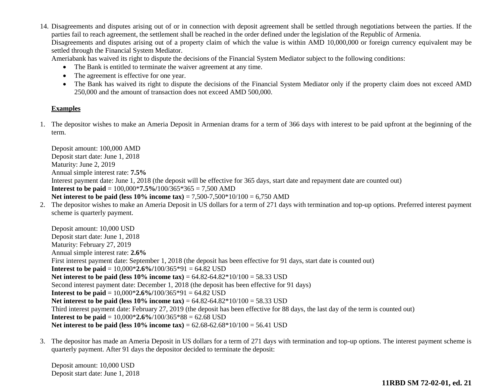14. Disagreements and disputes arising out of or in connection with deposit agreement shall be settled through negotiations between the parties. If the parties fail to reach agreement, the settlement shall be reached in the order defined under the legislation of the Republic of Armenia. Disagreements and disputes arising out of a property claim of which the value is within AMD 10,000,000 or foreign currency equivalent may be settled through the Financial System Mediator.

Ameriabank has waived its right to dispute the decisions of the Financial System Mediator subject to the following conditions:

- The Bank is entitled to terminate the waiver agreement at any time.
- The agreement is effective for one year.
- The Bank has waived its right to dispute the decisions of the Financial System Mediator only if the property claim does not exceed AMD 250,000 and the amount of transaction does not exceed AMD 500,000.

#### **Examples**

1. The depositor wishes to make an Ameria Deposit in Armenian drams for a term of 366 days with interest to be paid upfront at the beginning of the term.

Deposit amount: 100,000 AMD Deposit start date: June 1, 2018 Maturity: June 2, 2019 Annual simple interest rate: **7.5%** Interest payment date: June 1, 2018 (the deposit will be effective for 365 days, start date and repayment date are counted out) **Interest to be paid** = 100,000\***7.5%/**100/365\*365 = 7,500 AMD **Net interest to be paid (less 10% income tax)** = 7,500-7,500\*10/100 = 6,750 AMD 2. The depositor wishes to make an Ameria Deposit in US dollars for a term of 271 days with termination and top-up options. Preferred interest payment scheme is quarterly payment. Deposit amount: 10,000 USD Deposit start date: June 1, 2018 Maturity: February 27, 2019 Annual simple interest rate: **2.6%** First interest payment date: September 1, 2018 (the deposit has been effective for 91 days, start date is counted out) **Interest to be paid** =  $10,000*2.6\%/100/365*91 = 64.82$  USD **Net interest to be paid (less 10% income tax)** = 64.82-64.82\*10/100 = 58.33 USD Second interest payment date: December 1, 2018 (the deposit has been effective for 91 days) **Interest to be paid** =  $10,000*2.6\%/100/365*91 = 64.82$  USD **Net interest to be paid (less 10% income tax)** = 64.82-64.82\*10/100 = 58.33 USD Third interest payment date: February 27, 2019 (the deposit has been effective for 88 days, the last day of the term is counted out) **Interest to be paid** =  $10,000*2.6\%/100/365*88 = 62.68$  USD **Net interest to be paid (less 10% income tax)** = 62.68-62.68\*10/100 = 56.41 USD

3. The depositor has made an Ameria Deposit in US dollars for a term of 271 days with termination and top-up options. The interest payment scheme is quarterly payment. After 91 days the depositor decided to terminate the deposit:

Deposit amount: 10,000 USD Deposit start date: June 1, 2018